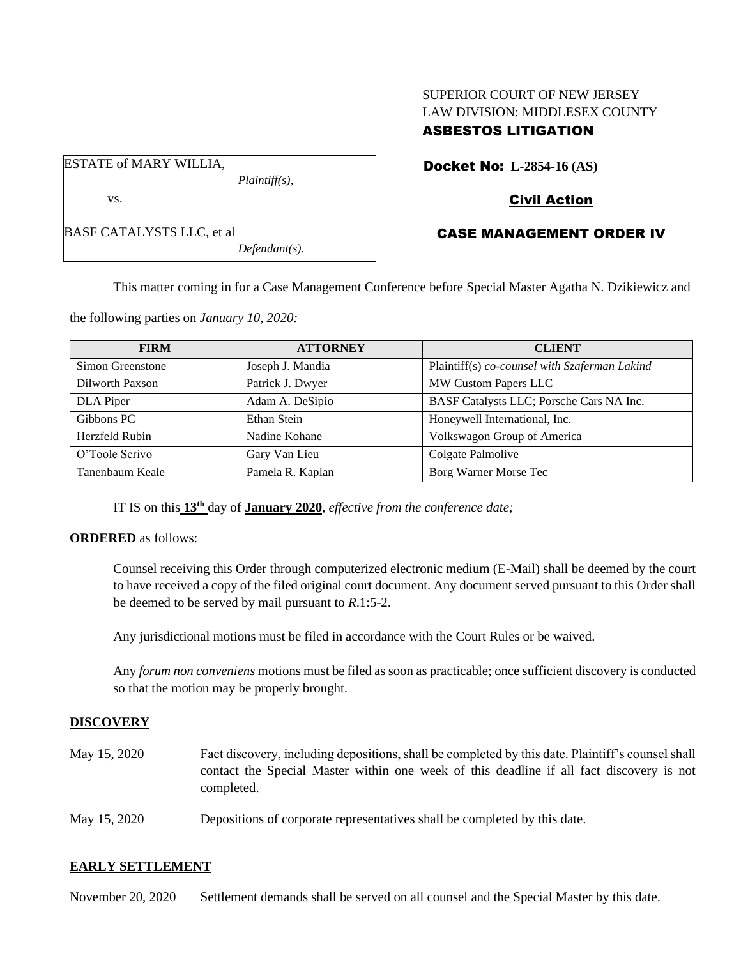# SUPERIOR COURT OF NEW JERSEY LAW DIVISION: MIDDLESEX COUNTY ASBESTOS LITIGATION

Docket No: **L-2854-16 (AS)**

# Civil Action

## CASE MANAGEMENT ORDER IV

This matter coming in for a Case Management Conference before Special Master Agatha N. Dzikiewicz and

the following parties on *January 10, 2020:*

*Plaintiff(s),*

*Defendant(s).*

ESTATE of MARY WILLIA,

BASF CATALYSTS LLC, et al

vs.

| <b>FIRM</b>      | <b>ATTORNEY</b>  | <b>CLIENT</b>                                 |
|------------------|------------------|-----------------------------------------------|
| Simon Greenstone | Joseph J. Mandia | Plaintiff(s) co-counsel with Szaferman Lakind |
| Dilworth Paxson  | Patrick J. Dwyer | MW Custom Papers LLC                          |
| DLA Piper        | Adam A. DeSipio  | BASF Catalysts LLC; Porsche Cars NA Inc.      |
| Gibbons PC       | Ethan Stein      | Honeywell International, Inc.                 |
| Herzfeld Rubin   | Nadine Kohane    | Volkswagon Group of America                   |
| O'Toole Scrivo   | Gary Van Lieu    | Colgate Palmolive                             |
| Tanenbaum Keale  | Pamela R. Kaplan | Borg Warner Morse Tec                         |

IT IS on this **13th** day of **January 2020**, *effective from the conference date;*

### **ORDERED** as follows:

Counsel receiving this Order through computerized electronic medium (E-Mail) shall be deemed by the court to have received a copy of the filed original court document. Any document served pursuant to this Order shall be deemed to be served by mail pursuant to *R*.1:5-2.

Any jurisdictional motions must be filed in accordance with the Court Rules or be waived.

Any *forum non conveniens* motions must be filed as soon as practicable; once sufficient discovery is conducted so that the motion may be properly brought.

### **DISCOVERY**

- May 15, 2020 Fact discovery, including depositions, shall be completed by this date. Plaintiff's counsel shall contact the Special Master within one week of this deadline if all fact discovery is not completed.
- May 15, 2020 Depositions of corporate representatives shall be completed by this date.

### **EARLY SETTLEMENT**

November 20, 2020 Settlement demands shall be served on all counsel and the Special Master by this date.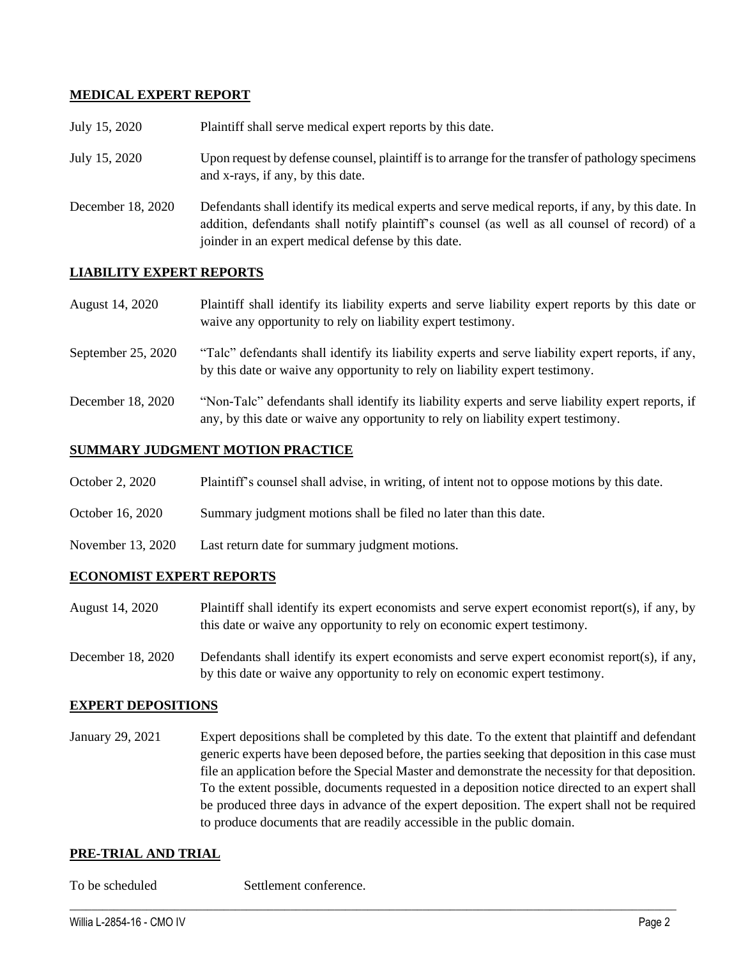## **MEDICAL EXPERT REPORT**

| July 15, 2020     | Plaintiff shall serve medical expert reports by this date.                                                                                                                                                                                               |
|-------------------|----------------------------------------------------------------------------------------------------------------------------------------------------------------------------------------------------------------------------------------------------------|
| July 15, 2020     | Upon request by defense counsel, plaintiff is to arrange for the transfer of pathology specimens<br>and x-rays, if any, by this date.                                                                                                                    |
| December 18, 2020 | Defendants shall identify its medical experts and serve medical reports, if any, by this date. In<br>addition, defendants shall notify plaintiff's counsel (as well as all counsel of record) of a<br>joinder in an expert medical defense by this date. |

## **LIABILITY EXPERT REPORTS**

| August 14, 2020 | Plaintiff shall identify its liability experts and serve liability expert reports by this date or |
|-----------------|---------------------------------------------------------------------------------------------------|
|                 | waive any opportunity to rely on liability expert testimony.                                      |
|                 |                                                                                                   |

- September 25, 2020 "Talc" defendants shall identify its liability experts and serve liability expert reports, if any, by this date or waive any opportunity to rely on liability expert testimony.
- December 18, 2020 "Non-Talc" defendants shall identify its liability experts and serve liability expert reports, if any, by this date or waive any opportunity to rely on liability expert testimony.

#### **SUMMARY JUDGMENT MOTION PRACTICE**

- October 2, 2020 Plaintiff's counsel shall advise, in writing, of intent not to oppose motions by this date.
- October 16, 2020 Summary judgment motions shall be filed no later than this date.
- November 13, 2020 Last return date for summary judgment motions.

### **ECONOMIST EXPERT REPORTS**

- August 14, 2020 Plaintiff shall identify its expert economists and serve expert economist report(s), if any, by this date or waive any opportunity to rely on economic expert testimony.
- December 18, 2020 Defendants shall identify its expert economists and serve expert economist report(s), if any, by this date or waive any opportunity to rely on economic expert testimony.

### **EXPERT DEPOSITIONS**

January 29, 2021 Expert depositions shall be completed by this date. To the extent that plaintiff and defendant generic experts have been deposed before, the parties seeking that deposition in this case must file an application before the Special Master and demonstrate the necessity for that deposition. To the extent possible, documents requested in a deposition notice directed to an expert shall be produced three days in advance of the expert deposition. The expert shall not be required to produce documents that are readily accessible in the public domain.

 $\_$  , and the set of the set of the set of the set of the set of the set of the set of the set of the set of the set of the set of the set of the set of the set of the set of the set of the set of the set of the set of th

#### **PRE-TRIAL AND TRIAL**

To be scheduled Settlement conference.